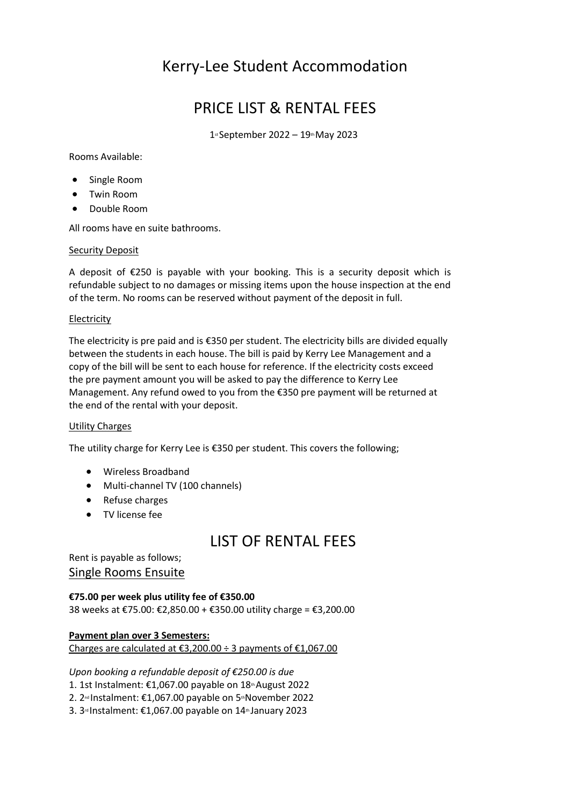# Kerry-Lee Student Accommodation

## PRICE LIST & RENTAL FEES

1st September 2022 – 19th May 2023

Rooms Available:

- Single Room
- Twin Room
- Double Room

All rooms have en suite bathrooms.

### Security Deposit

A deposit of €250 is payable with your booking. This is a security deposit which is refundable subject to no damages or missing items upon the house inspection at the end of the term. No rooms can be reserved without payment of the deposit in full.

### **Electricity**

The electricity is pre paid and is €350 per student. The electricity bills are divided equally between the students in each house. The bill is paid by Kerry Lee Management and a copy of the bill will be sent to each house for reference. If the electricity costs exceed the pre payment amount you will be asked to pay the difference to Kerry Lee Management. Any refund owed to you from the €350 pre payment will be returned at the end of the rental with your deposit.

#### Utility Charges

The utility charge for Kerry Lee is €350 per student. This covers the following;

- Wireless Broadband
- Multi-channel TV (100 channels)
- Refuse charges
- TV license fee

## LIST OF RENTAL FEES

Rent is payable as follows; Single Rooms Ensuite

### **€75.00 per week plus utility fee of €350.00**

38 weeks at €75.00: €2,850.00 + €350.00 utility charge = €3,200.00

**Payment plan over 3 Semesters:** Charges are calculated at  $\epsilon$ 3,200.00 ÷ 3 payments of  $\epsilon$ 1,067.00

*Upon booking a refundable deposit of €250.00 is due*

- 1. 1st Instalment: €1,067.00 payable on  $18<sup>th</sup>$ August 2022
- 2. 2<sup>nd</sup> Instalment: €1,067.00 payable on 5<sup>th</sup>November 2022
- 3. 3<sup>rd</sup> Instalment: €1,067.00 payable on 14<sup>th</sup> January 2023